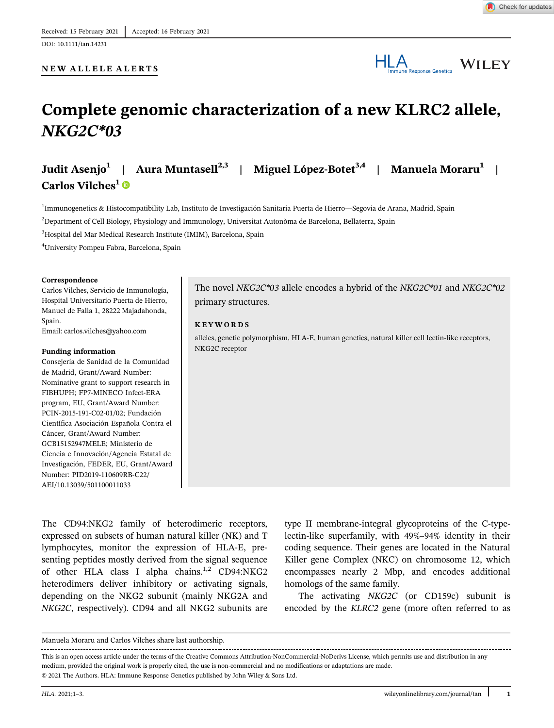#### NEW ALLELE ALERTS

# HLA Immune Response Genetics WILEY

## Complete genomic characterization of a new KLRC2 allele, NKG2C\*03

Judit Asenjo<sup>1</sup> | Aura Muntasell<sup>2,3</sup> | Miguel López-Botet<sup>3,4</sup> | Manuela Moraru<sup>1</sup> | Carlos Vilches<sup>1</sup> ®

<sup>1</sup>Immunogenetics & Histocompatibility Lab, Instituto de Investigación Sanitaria Puerta de Hierro—Segovia de Arana, Madrid, Spain 2 Department of Cell Biology, Physiology and Immunology, Universitat Autonòma de Barcelona, Bellaterra, Spain

3 Hospital del Mar Medical Research Institute (IMIM), Barcelona, Spain

4 University Pompeu Fabra, Barcelona, Spain

#### Correspondence

Carlos Vilches, Servicio de Inmunología, Hospital Universitario Puerta de Hierro, Manuel de Falla 1, 28222 Majadahonda, Spain.

Email: [carlos.vilches@yahoo.com](mailto:carlos.vilches@yahoo.com)

#### Funding information

Consejería de Sanidad de la Comunidad de Madrid, Grant/Award Number: Nominative grant to support research in FIBHUPH; FP7-MINECO Infect-ERA program, EU, Grant/Award Number: PCIN-2015-191-C02-01/02; Fundación Científica Asociación Española Contra el Cáncer, Grant/Award Number: GCB15152947MELE; Ministerio de Ciencia e Innovación/Agencia Estatal de Investigación, FEDER, EU, Grant/Award Number: PID2019-110609RB-C22/ AEI/10.13039/501100011033

The novel NKG2C\*03 allele encodes a hybrid of the NKG2C\*01 and NKG2C\*02 primary structures.

#### KEYWORDS

alleles, genetic polymorphism, HLA-E, human genetics, natural killer cell lectin-like receptors, NKG2C receptor

The CD94:NKG2 family of heterodimeric receptors, expressed on subsets of human natural killer (NK) and T lymphocytes, monitor the expression of HLA-E, presenting peptides mostly derived from the signal sequence of other HLA class I alpha chains.<sup>1,2</sup> CD94:NKG2 heterodimers deliver inhibitory or activating signals, depending on the NKG2 subunit (mainly NKG2A and NKG2C, respectively). CD94 and all NKG2 subunits are type II membrane-integral glycoproteins of the C-typelectin-like superfamily, with 49%–94% identity in their coding sequence. Their genes are located in the Natural Killer gene Complex (NKC) on chromosome 12, which encompasses nearly 2 Mbp, and encodes additional homologs of the same family.

The activating NKG2C (or CD159c) subunit is encoded by the KLRC2 gene (more often referred to as

This is an open access article under the terms of the [Creative Commons Attribution-NonCommercial-NoDerivs](http://creativecommons.org/licenses/by-nc-nd/4.0/) License, which permits use and distribution in any

medium, provided the original work is properly cited, the use is non-commercial and no modifications or adaptations are made.

© 2021 The Authors. HLA: Immune Response Genetics published by John Wiley & Sons Ltd.

Manuela Moraru and Carlos Vilches share last authorship.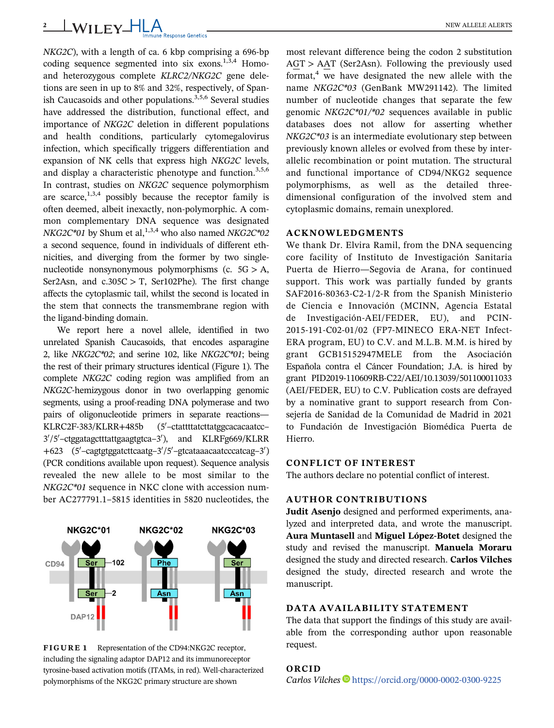## <sup>2</sup> WILEY-HLA NEW ALLELE ALERTS

NKG2C), with a length of ca. 6 kbp comprising a 696-bp coding sequence segmented into six exons.<sup>1,3,4</sup> Homoand heterozygous complete KLRC2/NKG2C gene deletions are seen in up to 8% and 32%, respectively, of Spanish Caucasoids and other populations. $3,5,6$  Several studies have addressed the distribution, functional effect, and importance of NKG2C deletion in different populations and health conditions, particularly cytomegalovirus infection, which specifically triggers differentiation and expansion of NK cells that express high NKG2C levels, and display a characteristic phenotype and function.<sup>3,5,6</sup> In contrast, studies on NKG2C sequence polymorphism are scarce,<sup>1,3,4</sup> possibly because the receptor family is often deemed, albeit inexactly, non-polymorphic. A common complementary DNA sequence was designated  $NKG2C*01$  by Shum et al,<sup>1,3,4</sup> who also named  $NKG2C*02$ a second sequence, found in individuals of different ethnicities, and diverging from the former by two singlenucleotide nonsynonymous polymorphisms (c.  $5G > A$ , Ser2Asn, and  $c.305C > T$ , Ser102Phe). The first change affects the cytoplasmic tail, whilst the second is located in the stem that connects the transmembrane region with the ligand-binding domain.

We report here a novel allele, identified in two unrelated Spanish Caucasoids, that encodes asparagine 2, like NKG2C\*02; and serine 102, like NKG2C\*01; being the rest of their primary structures identical (Figure 1). The complete NKG2C coding region was amplified from an NKG2C-hemizygous donor in two overlapping genomic segments, using a proof-reading DNA polymerase and two pairs of oligonucleotide primers in separate reactions—  $KLRC2F-383/KLRR+485b$ –ctattttatcttatggcacacaatcc– 3'/5'-ctggatagctttattgaagtgtca-3'), and KLRFg669/KLRR +623 (5'-cagtgtggatcttcaatg-3'/5'-gtcataaacaatcccatcag-3') (PCR conditions available upon request). Sequence analysis revealed the new allele to be most similar to the NKG2C\*01 sequence in NKC clone with accession number AC277791.1–5815 identities in 5820 nucleotides, the



FIGURE 1 Representation of the CD94:NKG2C receptor, including the signaling adaptor DAP12 and its immunoreceptor tyrosine-based activation motifs (ITAMs, in red). Well-characterized polymorphisms of the NKG2C primary structure are shown

most relevant difference being the codon 2 substitution AGT > AAT (Ser2Asn). Following the previously used format, $4$  we have designated the new allele with the name NKG2C\*03 (GenBank MW291142). The limited number of nucleotide changes that separate the few genomic NKG2C\*01/\*02 sequences available in public databases does not allow for asserting whether NKG2C\*03 is an intermediate evolutionary step between previously known alleles or evolved from these by interallelic recombination or point mutation. The structural and functional importance of CD94/NKG2 sequence polymorphisms, as well as the detailed threedimensional configuration of the involved stem and cytoplasmic domains, remain unexplored.

## ACKNOWLEDGMENTS

We thank Dr. Elvira Ramil, from the DNA sequencing core facility of Instituto de Investigación Sanitaria Puerta de Hierro—Segovia de Arana, for continued support. This work was partially funded by grants SAF2016-80363-C2-1/2-R from the Spanish Ministerio de Ciencia e Innovación (MCINN, Agencia Estatal de Investigación-AEI/FEDER, EU), and PCIN-2015-191-C02-01/02 (FP7-MINECO ERA-NET Infect-ERA program, EU) to C.V. and M.L.B. M.M. is hired by grant GCB15152947MELE from the Asociación Española contra el Cáncer Foundation; J.A. is hired by grant PID2019-110609RB-C22/AEI/10.13039/501100011033 (AEI/FEDER, EU) to C.V. Publication costs are defrayed by a nominative grant to support research from Consejería de Sanidad de la Comunidad de Madrid in 2021 to Fundación de Investigación Biomédica Puerta de Hierro.

### CONFLICT OF INTEREST

The authors declare no potential conflict of interest.

## AUTHOR CONTRIBUTIONS

Judit Asenjo designed and performed experiments, analyzed and interpreted data, and wrote the manuscript. Aura Muntasell and Miguel López-Botet designed the study and revised the manuscript. Manuela Moraru designed the study and directed research. Carlos Vilches designed the study, directed research and wrote the manuscript.

### DATA AVAILABILITY STATEMENT

The data that support the findings of this study are available from the corresponding author upon reasonable request.

## ORCID

Carlos Vilches D<https://orcid.org/0000-0002-0300-9225>